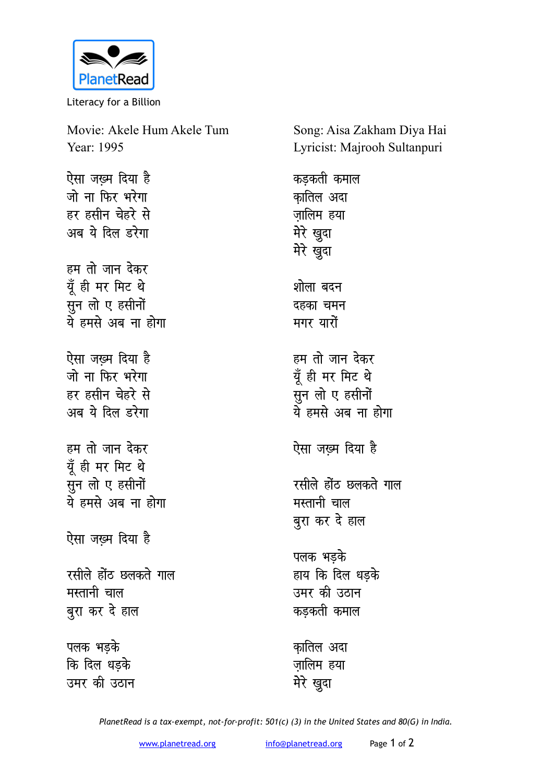

Literacy for a Billion

| Movie: Akele Hum Akele Tum<br>Year: 1995                                           |
|------------------------------------------------------------------------------------|
| ऐसा जख्म दिया है<br>जो ना फिर भरेगा<br>हर हसीन चेहरे से<br>अब ये दिल डरेगा         |
| हम तो जान देकर<br>यूँ ही मर मिट थे<br>सुन लो ए हसीनों<br><u>ये</u> हमसे अब ना होगा |
| ऐसा जख़्म दिया है<br>जो ना फिर भरेगा<br>हर हसीन चेहरे से<br>अब ये दिल डरेगा        |
| हम तो जान देकर<br>यूँ ही मर मिट थे<br>्<br>सुन लो ए हसीनों<br>ये हमसे अब ना होगा   |
| ऐसा जख़्म दिया है                                                                  |
| रसीले होंठ छलकते गाल<br>मस्तानी चाल<br>बुरा कर दे हाल                              |
| पलक भड़के<br>कि दिल धड़के<br>उमर की उठान                                           |

Song: Aisa Zakham Diya Hai Lyricist: Majrooh Sultanpuri

कड़कती कमाल कातिल अदा ज़ालिम हया मेरे खुदा मेरे खुदा शोला बदन दहका चमन **मगर** यारों हम तो जान देकर मूँ ही मर मिट थे ्<br>सुन लो ए हसीनों <u>ये</u> हमसे अब ना होगा ऐसा जख़्म दिया है रसीले होंठ छलकते गाल **मस्तानी** चाल बुरा कर दे हाल पलक भडके हाय कि दिल धडके उमर की उठान कड़कती कमाल *का*तिल अदा ज़ालिम हया

*PlanetRead is a tax-exempt, not-for-profit: 501(c) (3) in the United States and 80(G) in India.*

**मेरे** खुदा